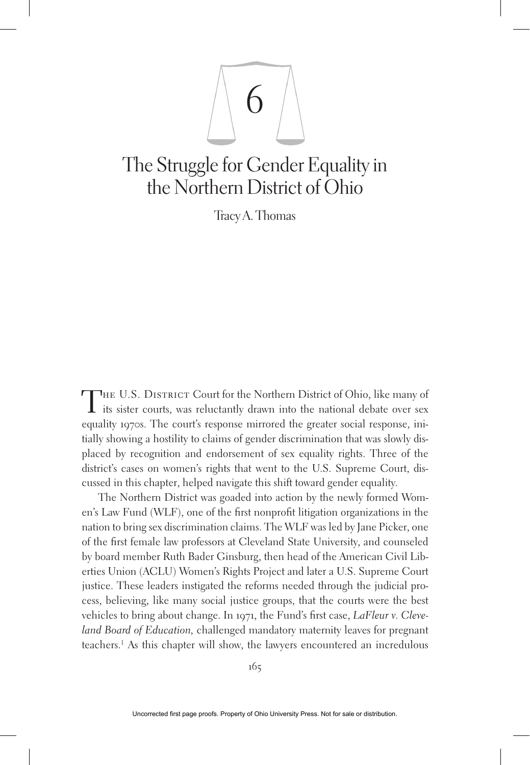

# The Struggle for Gender Equality in the Northern District of Ohio

Tracy A. Thomas

THE U.S. DISTRICT Court for the Northern District of Ohio, like many of  $\mathbf I$  its sister courts, was reluctantly drawn into the national debate over sex equality 1970s. The court's response mirrored the greater social response, initially showing a hostility to claims of gender discrimination that was slowly displaced by recognition and endorsement of sex equality rights. Three of the district's cases on women's rights that went to the U.S. Supreme Court, discussed in this chapter, helped navigate this shift toward gender equality.

The Northern District was goaded into action by the newly formed Women's Law Fund (WLF), one of the first nonprofit litigation organizations in the nation to bring sex discrimination claims. The WLF was led by Jane Picker, one of the first female law professors at Cleveland State University, and counseled by board member Ruth Bader Ginsburg, then head of the American Civil Liberties Union (ACLU) Women's Rights Project and later a U.S. Supreme Court justice. These leaders instigated the reforms needed through the judicial process, believing, like many social justice groups, that the courts were the best vehicles to bring about change. In 1971, the Fund's first case, *LaFleur v. Cleveland Board of Education,* challenged mandatory maternity leaves for pregnant teachers.1 As this chapter will show, the lawyers encountered an incredulous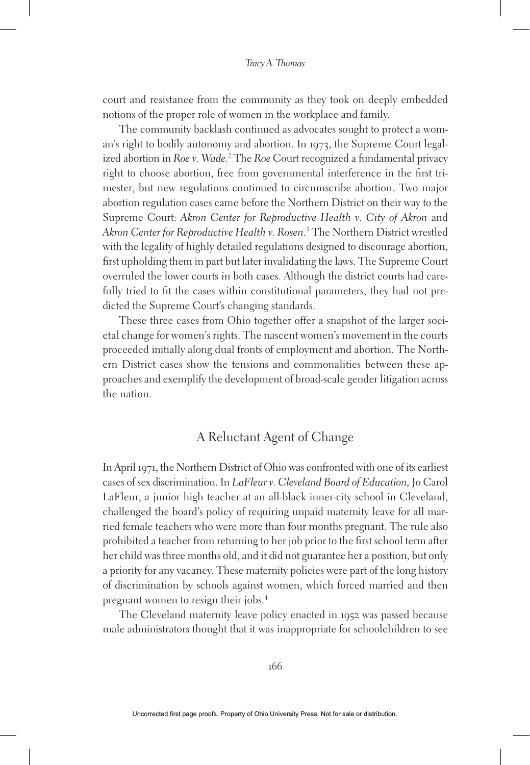court and resistance from the community as they took on deeply embedded notions of the proper role of women in the workplace and family.

The community backlash continued as advocates sought to protect a woman's right to bodily autonomy and abortion. In 1973, the Supreme Court legalized abortion in *Roe v. Wade.*<sup>2</sup> The *Roe* Court recognized a fundamental privacy right to choose abortion, free from governmental interference in the first trimester, but new regulations continued to circumscribe abortion. Two major abortion regulation cases came before the Northern District on their way to the Supreme Court: *Akron Center for Reproductive Health v. City of Akron* and *Akron Center for Reproductive Health v. Rosen.*<sup>3</sup> The Northern District wrestled with the legality of highly detailed regulations designed to discourage abortion, first upholding them in part but later invalidating the laws. The Supreme Court overruled the lower courts in both cases. Although the district courts had carefully tried to fit the cases within constitutional parameters, they had not predicted the Supreme Court's changing standards.

These three cases from Ohio together offer a snapshot of the larger societal change for women's rights. The nascent women's movement in the courts proceeded initially along dual fronts of employment and abortion. The Northern District cases show the tensions and commonalities between these approaches and exemplify the development of broad-scale gender litigation across the nation.

# A Reluctant Agent of Change

In April 1971, the Northern District of Ohio was confronted with one of its earliest cases of sex discrimination. In *LaFleur v. Cleveland Board of Education,* Jo Carol LaFleur, a junior high teacher at an all-black inner-city school in Cleveland, challenged the board's policy of requiring unpaid maternity leave for all married female teachers who were more than four months pregnant. The rule also prohibited a teacher from returning to her job prior to the first school term after her child was three months old, and it did not guarantee her a position, but only a priority for any vacancy. These maternity policies were part of the long history of discrimination by schools against women, which forced married and then pregnant women to resign their jobs.4

The Cleveland maternity leave policy enacted in 1952 was passed because male administrators thought that it was inappropriate for schoolchildren to see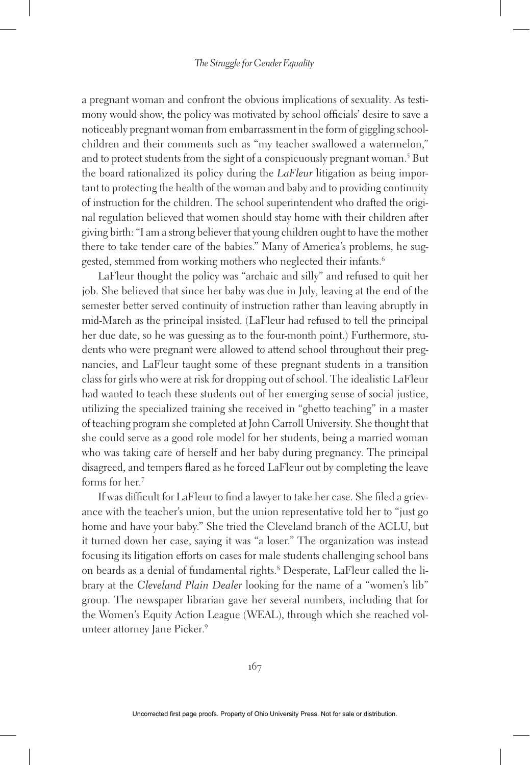a pregnant woman and confront the obvious implications of sexuality. As testimony would show, the policy was motivated by school officials' desire to save a noticeably pregnant woman from embarrassment in the form of giggling schoolchildren and their comments such as "my teacher swallowed a watermelon," and to protect students from the sight of a conspicuously pregnant woman.5 But the board rationalized its policy during the *LaFleur* litigation as being important to protecting the health of the woman and baby and to providing continuity of instruction for the children. The school superintendent who drafted the original regulation believed that women should stay home with their children after giving birth: "I am a strong believer that young children ought to have the mother there to take tender care of the babies." Many of America's problems, he suggested, stemmed from working mothers who neglected their infants.<sup>6</sup>

LaFleur thought the policy was "archaic and silly" and refused to quit her job. She believed that since her baby was due in July, leaving at the end of the semester better served continuity of instruction rather than leaving abruptly in mid-March as the principal insisted. (LaFleur had refused to tell the principal her due date, so he was guessing as to the four-month point.) Furthermore, students who were pregnant were allowed to attend school throughout their pregnancies, and LaFleur taught some of these pregnant students in a transition class for girls who were at risk for dropping out of school. The idealistic LaFleur had wanted to teach these students out of her emerging sense of social justice, utilizing the specialized training she received in "ghetto teaching" in a master of teaching program she completed at John Carroll University. She thought that she could serve as a good role model for her students, being a married woman who was taking care of herself and her baby during pregnancy. The principal disagreed, and tempers flared as he forced LaFleur out by completing the leave forms for her.7

If was difficult for LaFleur to find a lawyer to take her case. She filed a grievance with the teacher's union, but the union representative told her to "just go home and have your baby." She tried the Cleveland branch of the ACLU, but it turned down her case, saying it was "a loser." The organization was instead focusing its litigation efforts on cases for male students challenging school bans on beards as a denial of fundamental rights.8 Desperate, LaFleur called the library at the *Cleveland Plain Dealer* looking for the name of a "women's lib" group. The newspaper librarian gave her several numbers, including that for the Women's Equity Action League (WEAL), through which she reached volunteer attorney Jane Picker.<sup>9</sup>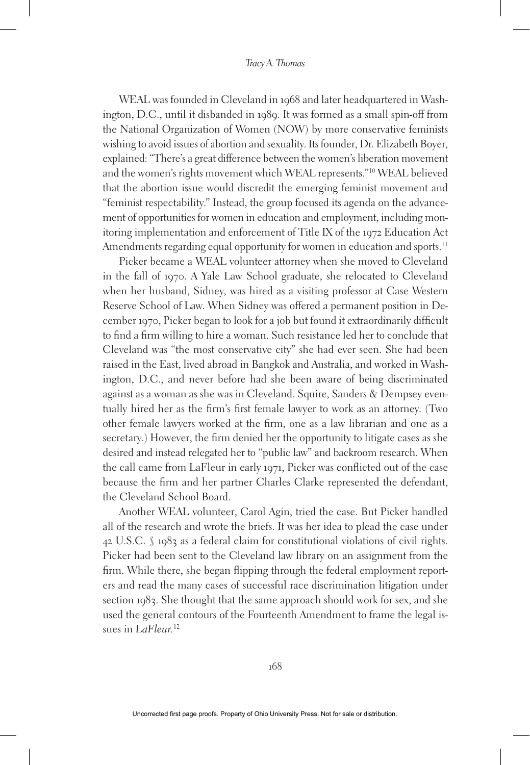WEAL was founded in Cleveland in 1968 and later headquartered in Washington, D.C., until it disbanded in 1989. It was formed as a small spin-off from the National Organization of Women (NOW) by more conservative feminists wishing to avoid issues of abortion and sexuality. Its founder, Dr. Elizabeth Boyer, explained: "There's a great difference between the women's liberation movement and the women's rights movement which WEAL represents."10 WEAL believed that the abortion issue would discredit the emerging feminist movement and "feminist respectability." Instead, the group focused its agenda on the advancement of opportunities for women in education and employment, including monitoring implementation and enforcement of Title IX of the 1972 Education Act Amendments regarding equal opportunity for women in education and sports.<sup>11</sup>

Picker became a WEAL volunteer attorney when she moved to Cleveland in the fall of 1970. A Yale Law School graduate, she relocated to Cleveland when her husband, Sidney, was hired as a visiting professor at Case Western Reserve School of Law. When Sidney was offered a permanent position in December 1970, Picker began to look for a job but found it extraordinarily difficult to find a firm willing to hire a woman. Such resistance led her to conclude that Cleveland was "the most conservative city" she had ever seen. She had been raised in the East, lived abroad in Bangkok and Australia, and worked in Washington, D.C., and never before had she been aware of being discriminated against as a woman as she was in Cleveland. Squire, Sanders & Dempsey eventually hired her as the firm's first female lawyer to work as an attorney. (Two other female lawyers worked at the firm, one as a law librarian and one as a secretary.) However, the firm denied her the opportunity to litigate cases as she desired and instead relegated her to "public law" and backroom research. When the call came from LaFleur in early 1971, Picker was conflicted out of the case because the firm and her partner Charles Clarke represented the defendant, the Cleveland School Board.

Another WEAL volunteer, Carol Agin, tried the case. But Picker handled all of the research and wrote the briefs. It was her idea to plead the case under 42 U.S.C. § 1983 as a federal claim for constitutional violations of civil rights. Picker had been sent to the Cleveland law library on an assignment from the firm. While there, she began flipping through the federal employment reporters and read the many cases of successful race discrimination litigation under section 1983. She thought that the same approach should work for sex, and she used the general contours of the Fourteenth Amendment to frame the legal issues in *LaFleur.*<sup>12</sup>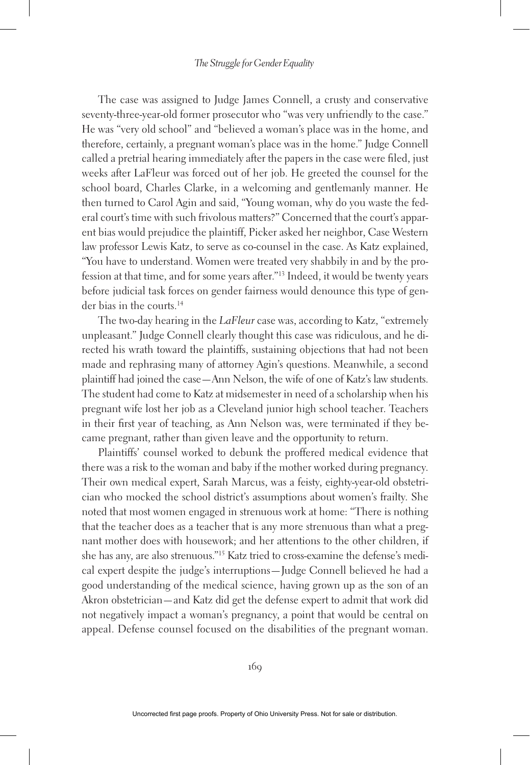The case was assigned to Judge James Connell, a crusty and conservative seventy-three-year-old former prosecutor who "was very unfriendly to the case." He was "very old school" and "believed a woman's place was in the home, and therefore, certainly, a pregnant woman's place was in the home." Judge Connell called a pretrial hearing immediately after the papers in the case were filed, just weeks after LaFleur was forced out of her job. He greeted the counsel for the school board, Charles Clarke, in a welcoming and gentlemanly manner. He then turned to Carol Agin and said, "Young woman, why do you waste the federal court's time with such frivolous matters?" Concerned that the court's apparent bias would prejudice the plaintiff, Picker asked her neighbor, Case Western law professor Lewis Katz, to serve as co-counsel in the case. As Katz explained, "You have to understand. Women were treated very shabbily in and by the profession at that time, and for some years after."13 Indeed, it would be twenty years before judicial task forces on gender fairness would denounce this type of gender bias in the courts.<sup>14</sup>

The two-day hearing in the *LaFleur* case was, according to Katz, "extremely unpleasant." Judge Connell clearly thought this case was ridiculous, and he directed his wrath toward the plaintiffs, sustaining objections that had not been made and rephrasing many of attorney Agin's questions. Meanwhile, a second plaintiff had joined the case—Ann Nelson, the wife of one of Katz's law students. The student had come to Katz at midsemester in need of a scholarship when his pregnant wife lost her job as a Cleveland junior high school teacher. Teachers in their first year of teaching, as Ann Nelson was, were terminated if they became pregnant, rather than given leave and the opportunity to return.

Plaintiffs' counsel worked to debunk the proffered medical evidence that there was a risk to the woman and baby if the mother worked during pregnancy. Their own medical expert, Sarah Marcus, was a feisty, eighty-year-old obstetrician who mocked the school district's assumptions about women's frailty. She noted that most women engaged in strenuous work at home: "There is nothing that the teacher does as a teacher that is any more strenuous than what a pregnant mother does with housework; and her attentions to the other children, if she has any, are also strenuous."15 Katz tried to cross-examine the defense's medical expert despite the judge's interruptions—Judge Connell believed he had a good understanding of the medical science, having grown up as the son of an Akron obstetrician—and Katz did get the defense expert to admit that work did not negatively impact a woman's pregnancy, a point that would be central on appeal. Defense counsel focused on the disabilities of the pregnant woman.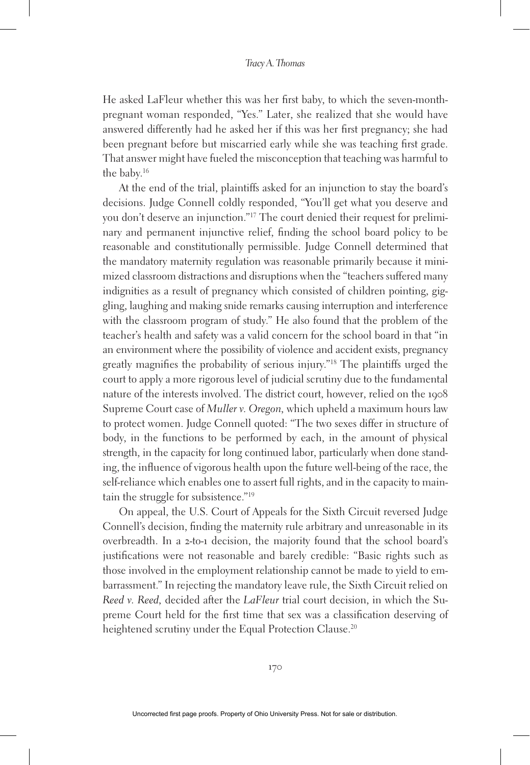He asked LaFleur whether this was her first baby, to which the seven-monthpregnant woman responded, "Yes." Later, she realized that she would have answered differently had he asked her if this was her first pregnancy; she had been pregnant before but miscarried early while she was teaching first grade. That answer might have fueled the misconception that teaching was harmful to the baby.16

At the end of the trial, plaintiffs asked for an injunction to stay the board's decisions. Judge Connell coldly responded, "You'll get what you deserve and you don't deserve an injunction."17 The court denied their request for preliminary and permanent injunctive relief, finding the school board policy to be reasonable and constitutionally permissible. Judge Connell determined that the mandatory maternity regulation was reasonable primarily because it minimized classroom distractions and disruptions when the "teachers suffered many indignities as a result of pregnancy which consisted of children pointing, giggling, laughing and making snide remarks causing interruption and interference with the classroom program of study." He also found that the problem of the teacher's health and safety was a valid concern for the school board in that "in an environment where the possibility of violence and accident exists, pregnancy greatly magnifies the probability of serious injury."18 The plaintiffs urged the court to apply a more rigorous level of judicial scrutiny due to the fundamental nature of the interests involved. The district court, however, relied on the 1908 Supreme Court case of *Muller v. Oregon,* which upheld a maximum hours law to protect women. Judge Connell quoted: "The two sexes differ in structure of body, in the functions to be performed by each, in the amount of physical strength, in the capacity for long continued labor, particularly when done standing, the influence of vigorous health upon the future well-being of the race, the self-reliance which enables one to assert full rights, and in the capacity to maintain the struggle for subsistence."19

On appeal, the U.S. Court of Appeals for the Sixth Circuit reversed Judge Connell's decision, finding the maternity rule arbitrary and unreasonable in its overbreadth. In a 2-to-1 decision, the majority found that the school board's justifications were not reasonable and barely credible: "Basic rights such as those involved in the employment relationship cannot be made to yield to embarrassment." In rejecting the mandatory leave rule, the Sixth Circuit relied on *Reed v. Reed,* decided after the *LaFleur* trial court decision, in which the Supreme Court held for the first time that sex was a classification deserving of heightened scrutiny under the Equal Protection Clause.<sup>20</sup>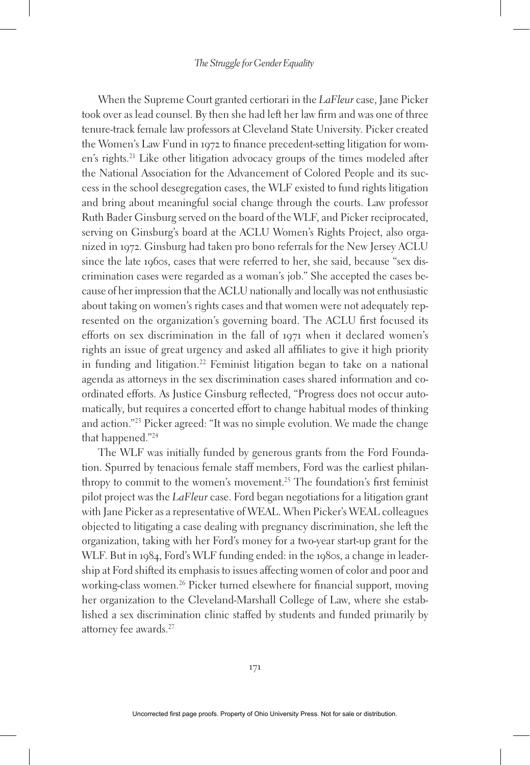When the Supreme Court granted certiorari in the *LaFleur* case, Jane Picker took over as lead counsel. By then she had left her law firm and was one of three tenure-track female law professors at Cleveland State University. Picker created the Women's Law Fund in 1972 to finance precedent-setting litigation for women's rights.21 Like other litigation advocacy groups of the times modeled after the National Association for the Advancement of Colored People and its success in the school desegregation cases, the WLF existed to fund rights litigation and bring about meaningful social change through the courts. Law professor Ruth Bader Ginsburg served on the board of the WLF, and Picker reciprocated, serving on Ginsburg's board at the ACLU Women's Rights Project, also organized in 1972. Ginsburg had taken pro bono referrals for the New Jersey ACLU since the late 1960s, cases that were referred to her, she said, because "sex discrimination cases were regarded as a woman's job." She accepted the cases because of her impression that the ACLU nationally and locally was not enthusiastic about taking on women's rights cases and that women were not adequately represented on the organization's governing board. The ACLU first focused its efforts on sex discrimination in the fall of 1971 when it declared women's rights an issue of great urgency and asked all affiliates to give it high priority in funding and litigation.22 Feminist litigation began to take on a national agenda as attorneys in the sex discrimination cases shared information and coordinated efforts. As Justice Ginsburg reflected, "Progress does not occur automatically, but requires a concerted effort to change habitual modes of thinking and action."23 Picker agreed: "It was no simple evolution. We made the change that happened."24

The WLF was initially funded by generous grants from the Ford Foundation. Spurred by tenacious female staff members, Ford was the earliest philanthropy to commit to the women's movement.25 The foundation's first feminist pilot project was the *LaFleur* case. Ford began negotiations for a litigation grant with Jane Picker as a representative of WEAL. When Picker's WEAL colleagues objected to litigating a case dealing with pregnancy discrimination, she left the organization, taking with her Ford's money for a two-year start-up grant for the WLF. But in 1984, Ford's WLF funding ended: in the 1980s, a change in leadership at Ford shifted its emphasis to issues affecting women of color and poor and working-class women.26 Picker turned elsewhere for financial support, moving her organization to the Cleveland-Marshall College of Law, where she established a sex discrimination clinic staffed by students and funded primarily by attorney fee awards.<sup>27</sup>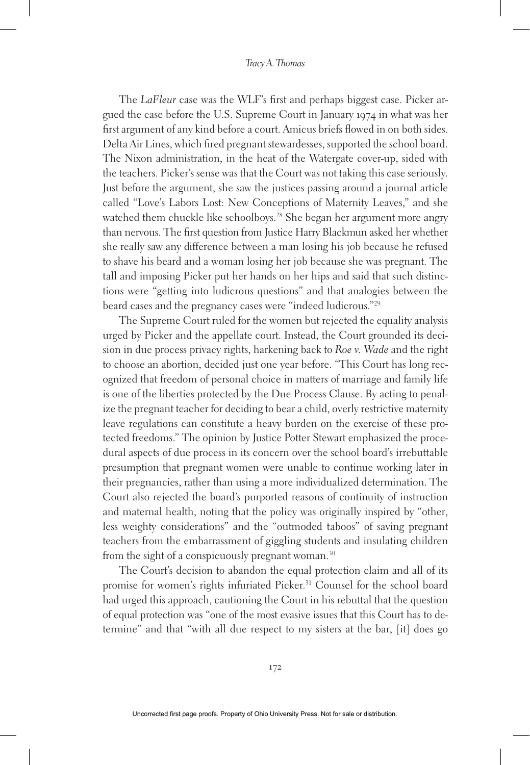The *LaFleur* case was the WLF's first and perhaps biggest case. Picker argued the case before the U.S. Supreme Court in January 1974 in what was her first argument of any kind before a court. Amicus briefs flowed in on both sides. Delta Air Lines, which fired pregnant stewardesses, supported the school board. The Nixon administration, in the heat of the Watergate cover-up, sided with the teachers. Picker's sense was that the Court was not taking this case seriously. Just before the argument, she saw the justices passing around a journal article called "Love's Labors Lost: New Conceptions of Maternity Leaves," and she watched them chuckle like schoolboys.<sup>28</sup> She began her argument more angry than nervous. The first question from Justice Harry Blackmun asked her whether she really saw any difference between a man losing his job because he refused to shave his beard and a woman losing her job because she was pregnant. The tall and imposing Picker put her hands on her hips and said that such distinctions were "getting into ludicrous questions" and that analogies between the beard cases and the pregnancy cases were "indeed ludicrous."29

The Supreme Court ruled for the women but rejected the equality analysis urged by Picker and the appellate court. Instead, the Court grounded its decision in due process privacy rights, harkening back to *Roe v. Wade* and the right to choose an abortion, decided just one year before. "This Court has long recognized that freedom of personal choice in matters of marriage and family life is one of the liberties protected by the Due Process Clause. By acting to penalize the pregnant teacher for deciding to bear a child, overly restrictive maternity leave regulations can constitute a heavy burden on the exercise of these protected freedoms." The opinion by Justice Potter Stewart emphasized the procedural aspects of due process in its concern over the school board's irrebuttable presumption that pregnant women were unable to continue working later in their pregnancies, rather than using a more individualized determination. The Court also rejected the board's purported reasons of continuity of instruction and maternal health, noting that the policy was originally inspired by "other, less weighty considerations" and the "outmoded taboos" of saving pregnant teachers from the embarrassment of giggling students and insulating children from the sight of a conspicuously pregnant woman.<sup>30</sup>

The Court's decision to abandon the equal protection claim and all of its promise for women's rights infuriated Picker.<sup>31</sup> Counsel for the school board had urged this approach, cautioning the Court in his rebuttal that the question of equal protection was "one of the most evasive issues that this Court has to determine" and that "with all due respect to my sisters at the bar, [it] does go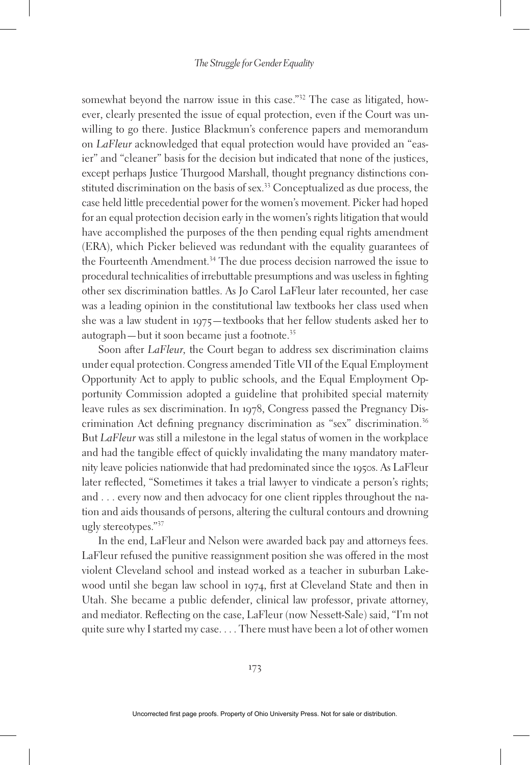somewhat beyond the narrow issue in this case."<sup>32</sup> The case as litigated, however, clearly presented the issue of equal protection, even if the Court was unwilling to go there. Justice Blackmun's conference papers and memorandum on *LaFleur* acknowledged that equal protection would have provided an "easier" and "cleaner" basis for the decision but indicated that none of the justices, except perhaps Justice Thurgood Marshall, thought pregnancy distinctions constituted discrimination on the basis of sex.<sup>33</sup> Conceptualized as due process, the case held little precedential power for the women's movement. Picker had hoped for an equal protection decision early in the women's rights litigation that would have accomplished the purposes of the then pending equal rights amendment (ERA), which Picker believed was redundant with the equality guarantees of the Fourteenth Amendment.<sup>34</sup> The due process decision narrowed the issue to procedural technicalities of irrebuttable presumptions and was useless in fighting other sex discrimination battles. As Jo Carol LaFleur later recounted, her case was a leading opinion in the constitutional law textbooks her class used when she was a law student in 1975—textbooks that her fellow students asked her to autograph—but it soon became just a footnote.35

Soon after *LaFleur,* the Court began to address sex discrimination claims under equal protection. Congress amended Title VII of the Equal Employment Opportunity Act to apply to public schools, and the Equal Employment Opportunity Commission adopted a guideline that prohibited special maternity leave rules as sex discrimination. In 1978, Congress passed the Pregnancy Discrimination Act defining pregnancy discrimination as "sex" discrimination.<sup>36</sup> But *LaFleur* was still a milestone in the legal status of women in the workplace and had the tangible effect of quickly invalidating the many mandatory maternity leave policies nationwide that had predominated since the 1950s. As LaFleur later reflected, "Sometimes it takes a trial lawyer to vindicate a person's rights; and . . . every now and then advocacy for one client ripples throughout the nation and aids thousands of persons, altering the cultural contours and drowning ugly stereotypes."37

In the end, LaFleur and Nelson were awarded back pay and attorneys fees. LaFleur refused the punitive reassignment position she was offered in the most violent Cleveland school and instead worked as a teacher in suburban Lakewood until she began law school in 1974, first at Cleveland State and then in Utah. She became a public defender, clinical law professor, private attorney, and mediator. Reflecting on the case, LaFleur (now Nessett-Sale) said, "I'm not quite sure why I started my case. . . . There must have been a lot of other women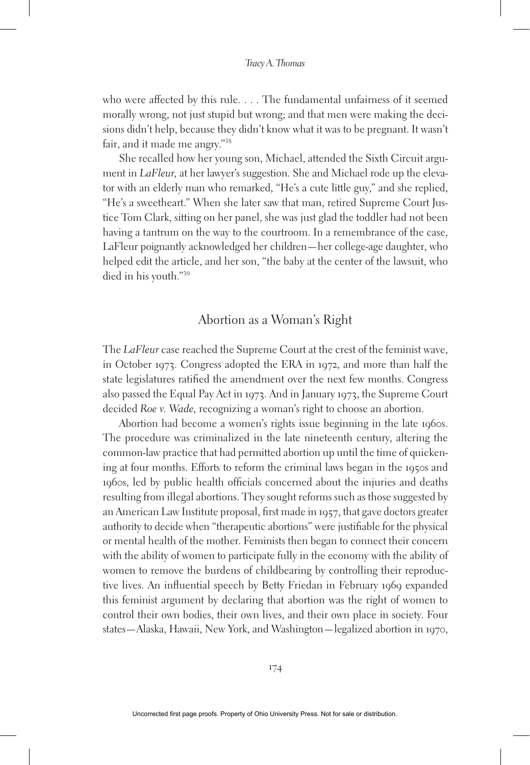who were affected by this rule. . . . The fundamental unfairness of it seemed morally wrong, not just stupid but wrong; and that men were making the decisions didn't help, because they didn't know what it was to be pregnant. It wasn't fair, and it made me angry."38

She recalled how her young son, Michael, attended the Sixth Circuit argument in *LaFleur,* at her lawyer's suggestion. She and Michael rode up the elevator with an elderly man who remarked, "He's a cute little guy," and she replied, "He's a sweetheart." When she later saw that man, retired Supreme Court Justice Tom Clark, sitting on her panel, she was just glad the toddler had not been having a tantrum on the way to the courtroom. In a remembrance of the case, LaFleur poignantly acknowledged her children—her college-age daughter, who helped edit the article, and her son, "the baby at the center of the lawsuit, who died in his youth."39

### Abortion as a Woman's Right

The *LaFleur* case reached the Supreme Court at the crest of the feminist wave, in October 1973. Congress adopted the ERA in 1972, and more than half the state legislatures ratified the amendment over the next few months. Congress also passed the Equal Pay Act in 1973. And in January 1973, the Supreme Court decided *Roe v. Wade,* recognizing a woman's right to choose an abortion.

Abortion had become a women's rights issue beginning in the late 1960s. The procedure was criminalized in the late nineteenth century, altering the common-law practice that had permitted abortion up until the time of quickening at four months. Efforts to reform the criminal laws began in the 1950s and 1960s, led by public health officials concerned about the injuries and deaths resulting from illegal abortions. They sought reforms such as those suggested by an American Law Institute proposal, first made in 1957, that gave doctors greater authority to decide when "therapeutic abortions" were justifiable for the physical or mental health of the mother. Feminists then began to connect their concern with the ability of women to participate fully in the economy with the ability of women to remove the burdens of childbearing by controlling their reproductive lives. An influential speech by Betty Friedan in February 1969 expanded this feminist argument by declaring that abortion was the right of women to control their own bodies, their own lives, and their own place in society. Four states—Alaska, Hawaii, New York, and Washington—legalized abortion in 1970,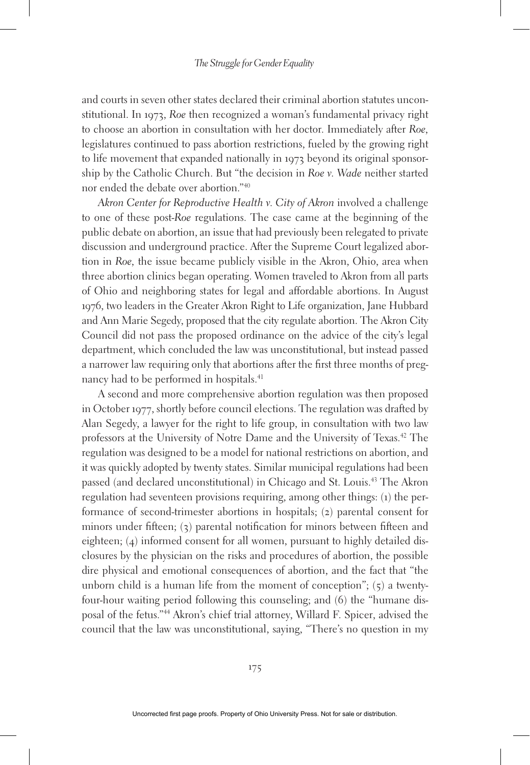and courts in seven other states declared their criminal abortion statutes unconstitutional. In 1973, *Roe* then recognized a woman's fundamental privacy right to choose an abortion in consultation with her doctor. Immediately after *Roe,* legislatures continued to pass abortion restrictions, fueled by the growing right to life movement that expanded nationally in 1973 beyond its original sponsorship by the Catholic Church. But "the decision in *Roe v. Wade* neither started nor ended the debate over abortion."40

*Akron Center for Reproductive Health v. City of Akron* involved a challenge to one of these post-*Roe* regulations. The case came at the beginning of the public debate on abortion, an issue that had previously been relegated to private discussion and underground practice. After the Supreme Court legalized abortion in *Roe,* the issue became publicly visible in the Akron, Ohio, area when three abortion clinics began operating. Women traveled to Akron from all parts of Ohio and neighboring states for legal and affordable abortions. In August 1976, two leaders in the Greater Akron Right to Life organization, Jane Hubbard and Ann Marie Segedy, proposed that the city regulate abortion. The Akron City Council did not pass the proposed ordinance on the advice of the city's legal department, which concluded the law was unconstitutional, but instead passed a narrower law requiring only that abortions after the first three months of pregnancy had to be performed in hospitals.<sup>41</sup>

A second and more comprehensive abortion regulation was then proposed in October 1977, shortly before council elections. The regulation was drafted by Alan Segedy, a lawyer for the right to life group, in consultation with two law professors at the University of Notre Dame and the University of Texas.<sup>42</sup> The regulation was designed to be a model for national restrictions on abortion, and it was quickly adopted by twenty states. Similar municipal regulations had been passed (and declared unconstitutional) in Chicago and St. Louis.43 The Akron regulation had seventeen provisions requiring, among other things: (1) the performance of second-trimester abortions in hospitals; (2) parental consent for minors under fifteen; (3) parental notification for minors between fifteen and eighteen; (4) informed consent for all women, pursuant to highly detailed disclosures by the physician on the risks and procedures of abortion, the possible dire physical and emotional consequences of abortion, and the fact that "the unborn child is a human life from the moment of conception";  $(5)$  a twentyfour-hour waiting period following this counseling; and (6) the "humane disposal of the fetus."44 Akron's chief trial attorney, Willard F. Spicer, advised the council that the law was unconstitutional, saying, "There's no question in my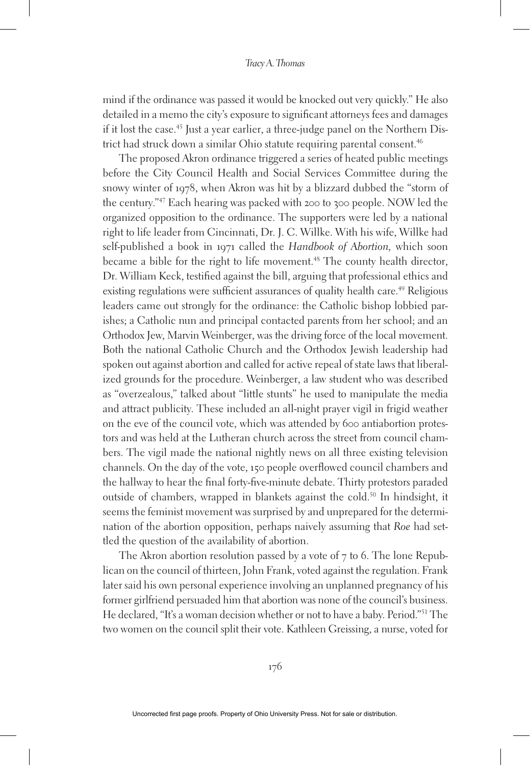mind if the ordinance was passed it would be knocked out very quickly." He also detailed in a memo the city's exposure to significant attorneys fees and damages if it lost the case.<sup>45</sup> Just a year earlier, a three-judge panel on the Northern District had struck down a similar Ohio statute requiring parental consent.<sup>46</sup>

The proposed Akron ordinance triggered a series of heated public meetings before the City Council Health and Social Services Committee during the snowy winter of 1978, when Akron was hit by a blizzard dubbed the "storm of the century."47 Each hearing was packed with 200 to 300 people. NOW led the organized opposition to the ordinance. The supporters were led by a national right to life leader from Cincinnati, Dr. J. C. Willke. With his wife, Willke had self-published a book in 1971 called the *Handbook of Abortion,* which soon became a bible for the right to life movement.<sup>48</sup> The county health director, Dr. William Keck, testified against the bill, arguing that professional ethics and existing regulations were sufficient assurances of quality health care.<sup>49</sup> Religious leaders came out strongly for the ordinance: the Catholic bishop lobbied parishes; a Catholic nun and principal contacted parents from her school; and an Orthodox Jew, Marvin Weinberger, was the driving force of the local movement. Both the national Catholic Church and the Orthodox Jewish leadership had spoken out against abortion and called for active repeal of state laws that liberalized grounds for the procedure. Weinberger, a law student who was described as "overzealous," talked about "little stunts" he used to manipulate the media and attract publicity. These included an all-night prayer vigil in frigid weather on the eve of the council vote, which was attended by 600 antiabortion protestors and was held at the Lutheran church across the street from council chambers. The vigil made the national nightly news on all three existing television channels. On the day of the vote, 150 people overflowed council chambers and the hallway to hear the final forty-five-minute debate. Thirty protestors paraded outside of chambers, wrapped in blankets against the cold.<sup>50</sup> In hindsight, it seems the feminist movement was surprised by and unprepared for the determination of the abortion opposition, perhaps naively assuming that *Roe* had settled the question of the availability of abortion.

The Akron abortion resolution passed by a vote of 7 to 6. The lone Republican on the council of thirteen, John Frank, voted against the regulation. Frank later said his own personal experience involving an unplanned pregnancy of his former girlfriend persuaded him that abortion was none of the council's business. He declared, "It's a woman decision whether or not to have a baby. Period."51 The two women on the council split their vote. Kathleen Greissing, a nurse, voted for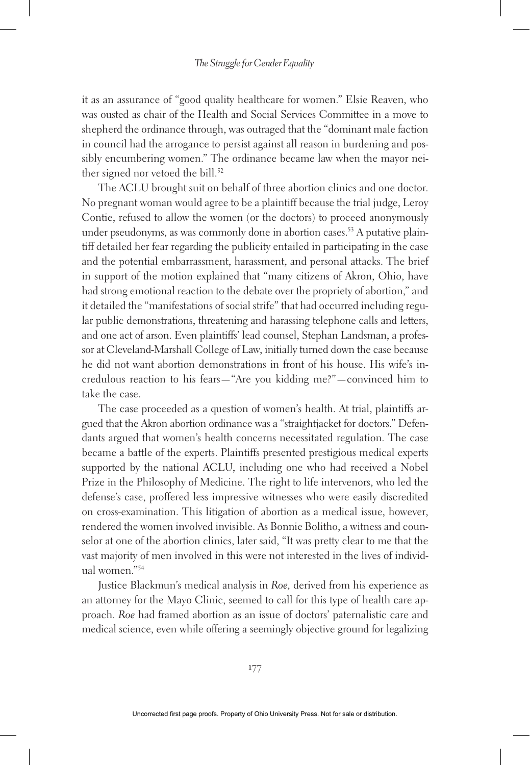it as an assurance of "good quality healthcare for women." Elsie Reaven, who was ousted as chair of the Health and Social Services Committee in a move to shepherd the ordinance through, was outraged that the "dominant male faction in council had the arrogance to persist against all reason in burdening and possibly encumbering women." The ordinance became law when the mayor neither signed nor vetoed the bill.<sup>52</sup>

The ACLU brought suit on behalf of three abortion clinics and one doctor. No pregnant woman would agree to be a plaintiff because the trial judge, Leroy Contie, refused to allow the women (or the doctors) to proceed anonymously under pseudonyms, as was commonly done in abortion cases.<sup>53</sup> A putative plaintiff detailed her fear regarding the publicity entailed in participating in the case and the potential embarrassment, harassment, and personal attacks. The brief in support of the motion explained that "many citizens of Akron, Ohio, have had strong emotional reaction to the debate over the propriety of abortion," and it detailed the "manifestations of social strife" that had occurred including regular public demonstrations, threatening and harassing telephone calls and letters, and one act of arson. Even plaintiffs' lead counsel, Stephan Landsman, a professor at Cleveland-Marshall College of Law, initially turned down the case because he did not want abortion demonstrations in front of his house. His wife's incredulous reaction to his fears—"Are you kidding me?"—convinced him to take the case.

The case proceeded as a question of women's health. At trial, plaintiffs argued that the Akron abortion ordinance was a "straightjacket for doctors." Defendants argued that women's health concerns necessitated regulation. The case became a battle of the experts. Plaintiffs presented prestigious medical experts supported by the national ACLU, including one who had received a Nobel Prize in the Philosophy of Medicine. The right to life intervenors, who led the defense's case, proffered less impressive witnesses who were easily discredited on cross-examination. This litigation of abortion as a medical issue, however, rendered the women involved invisible. As Bonnie Bolitho, a witness and counselor at one of the abortion clinics, later said, "It was pretty clear to me that the vast majority of men involved in this were not interested in the lives of individual women."54

Justice Blackmun's medical analysis in *Roe,* derived from his experience as an attorney for the Mayo Clinic, seemed to call for this type of health care approach. *Roe* had framed abortion as an issue of doctors' paternalistic care and medical science, even while offering a seemingly objective ground for legalizing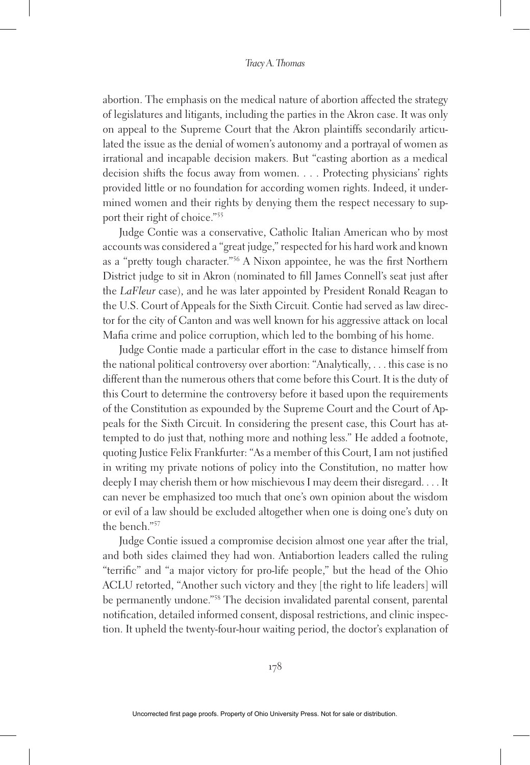abortion. The emphasis on the medical nature of abortion affected the strategy of legislatures and litigants, including the parties in the Akron case. It was only on appeal to the Supreme Court that the Akron plaintiffs secondarily articulated the issue as the denial of women's autonomy and a portrayal of women as irrational and incapable decision makers. But "casting abortion as a medical decision shifts the focus away from women. . . . Protecting physicians' rights provided little or no foundation for according women rights. Indeed, it undermined women and their rights by denying them the respect necessary to support their right of choice."55

Judge Contie was a conservative, Catholic Italian American who by most accounts was considered a "great judge," respected for his hard work and known as a "pretty tough character."56 A Nixon appointee, he was the first Northern District judge to sit in Akron (nominated to fill James Connell's seat just after the *LaFleur* case), and he was later appointed by President Ronald Reagan to the U.S. Court of Appeals for the Sixth Circuit. Contie had served as law director for the city of Canton and was well known for his aggressive attack on local Mafia crime and police corruption, which led to the bombing of his home.

Judge Contie made a particular effort in the case to distance himself from the national political controversy over abortion: "Analytically, . . . this case is no different than the numerous others that come before this Court. It is the duty of this Court to determine the controversy before it based upon the requirements of the Constitution as expounded by the Supreme Court and the Court of Appeals for the Sixth Circuit. In considering the present case, this Court has attempted to do just that, nothing more and nothing less." He added a footnote, quoting Justice Felix Frankfurter: "As a member of this Court, I am not justified in writing my private notions of policy into the Constitution, no matter how deeply I may cherish them or how mischievous I may deem their disregard. . . . It can never be emphasized too much that one's own opinion about the wisdom or evil of a law should be excluded altogether when one is doing one's duty on the bench."57

Judge Contie issued a compromise decision almost one year after the trial, and both sides claimed they had won. Antiabortion leaders called the ruling "terrific" and "a major victory for pro-life people," but the head of the Ohio ACLU retorted, "Another such victory and they [the right to life leaders] will be permanently undone."<sup>58</sup> The decision invalidated parental consent, parental notification, detailed informed consent, disposal restrictions, and clinic inspection. It upheld the twenty-four-hour waiting period, the doctor's explanation of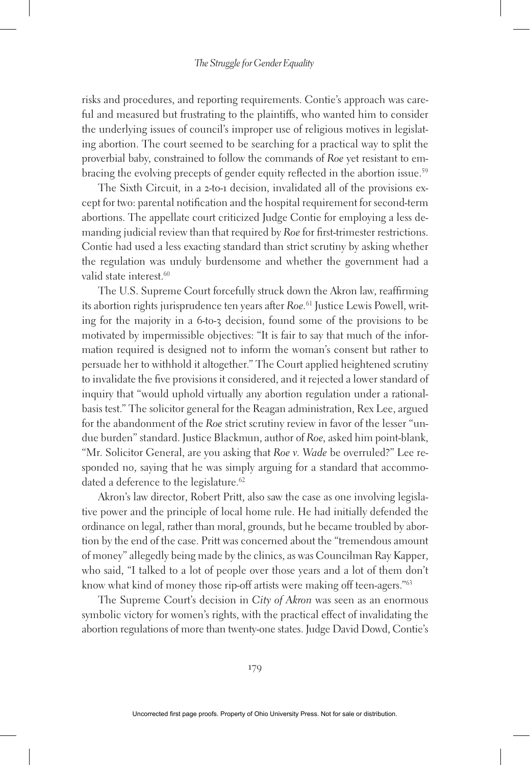risks and procedures, and reporting requirements. Contie's approach was careful and measured but frustrating to the plaintiffs, who wanted him to consider the underlying issues of council's improper use of religious motives in legislating abortion. The court seemed to be searching for a practical way to split the proverbial baby, constrained to follow the commands of *Roe* yet resistant to embracing the evolving precepts of gender equity reflected in the abortion issue.<sup>59</sup>

The Sixth Circuit, in a 2-to-1 decision, invalidated all of the provisions except for two: parental notification and the hospital requirement for second-term abortions. The appellate court criticized Judge Contie for employing a less demanding judicial review than that required by *Roe* for first-trimester restrictions. Contie had used a less exacting standard than strict scrutiny by asking whether the regulation was unduly burdensome and whether the government had a valid state interest.<sup>60</sup>

The U.S. Supreme Court forcefully struck down the Akron law, reaffirming its abortion rights jurisprudence ten years after *Roe.*61 Justice Lewis Powell, writing for the majority in a 6-to-3 decision, found some of the provisions to be motivated by impermissible objectives: "It is fair to say that much of the information required is designed not to inform the woman's consent but rather to persuade her to withhold it altogether." The Court applied heightened scrutiny to invalidate the five provisions it considered, and it rejected a lower standard of inquiry that "would uphold virtually any abortion regulation under a rationalbasis test." The solicitor general for the Reagan administration, Rex Lee, argued for the abandonment of the *Roe* strict scrutiny review in favor of the lesser "undue burden" standard. Justice Blackmun, author of *Roe,* asked him point-blank, "Mr. Solicitor General, are you asking that *Roe v. Wade* be overruled?" Lee responded no, saying that he was simply arguing for a standard that accommodated a deference to the legislature.<sup>62</sup>

Akron's law director, Robert Pritt, also saw the case as one involving legislative power and the principle of local home rule. He had initially defended the ordinance on legal, rather than moral, grounds, but he became troubled by abortion by the end of the case. Pritt was concerned about the "tremendous amount of money" allegedly being made by the clinics, as was Councilman Ray Kapper, who said, "I talked to a lot of people over those years and a lot of them don't know what kind of money those rip-off artists were making off teen-agers."63

The Supreme Court's decision in *City of Akron* was seen as an enormous symbolic victory for women's rights, with the practical effect of invalidating the abortion regulations of more than twenty-one states. Judge David Dowd, Contie's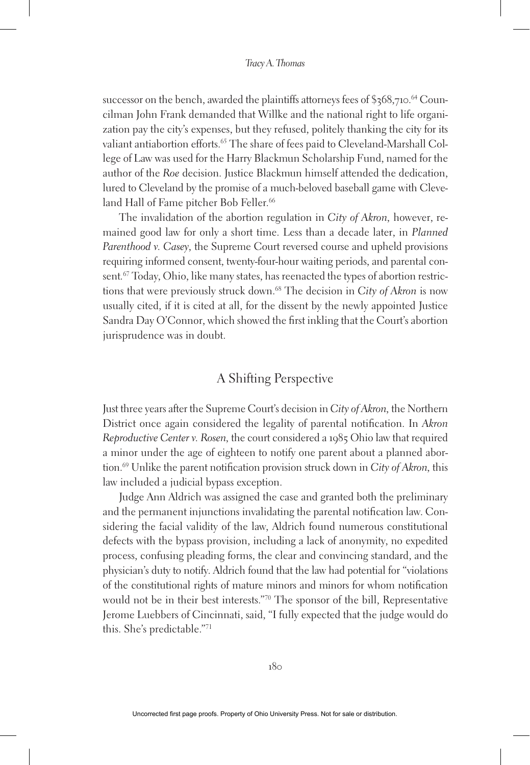successor on the bench, awarded the plaintiffs attorneys fees of \$368,710. 64 Councilman John Frank demanded that Willke and the national right to life organization pay the city's expenses, but they refused, politely thanking the city for its valiant antiabortion efforts.<sup>65</sup> The share of fees paid to Cleveland-Marshall College of Law was used for the Harry Blackmun Scholarship Fund, named for the author of the *Roe* decision. Justice Blackmun himself attended the dedication, lured to Cleveland by the promise of a much-beloved baseball game with Cleveland Hall of Fame pitcher Bob Feller.<sup>66</sup>

The invalidation of the abortion regulation in *City of Akron,* however, remained good law for only a short time. Less than a decade later, in *Planned Parenthood v. Casey,* the Supreme Court reversed course and upheld provisions requiring informed consent, twenty-four-hour waiting periods, and parental consent*.* 67 Today, Ohio, like many states, has reenacted the types of abortion restrictions that were previously struck down.68 The decision in *City of Akron* is now usually cited, if it is cited at all, for the dissent by the newly appointed Justice Sandra Day O'Connor, which showed the first inkling that the Court's abortion jurisprudence was in doubt.

## A Shifting Perspective

Just three years after the Supreme Court's decision in *City of Akron,* the Northern District once again considered the legality of parental notification. In *Akron Reproductive Center v. Rosen,* the court considered a 1985 Ohio law that required a minor under the age of eighteen to notify one parent about a planned abortion.69 Unlike the parent notification provision struck down in *City of Akron,* this law included a judicial bypass exception.

Judge Ann Aldrich was assigned the case and granted both the preliminary and the permanent injunctions invalidating the parental notification law. Considering the facial validity of the law, Aldrich found numerous constitutional defects with the bypass provision, including a lack of anonymity, no expedited process, confusing pleading forms, the clear and convincing standard, and the physician's duty to notify. Aldrich found that the law had potential for "violations of the constitutional rights of mature minors and minors for whom notification would not be in their best interests."70 The sponsor of the bill, Representative Jerome Luebbers of Cincinnati, said, "I fully expected that the judge would do this. She's predictable."71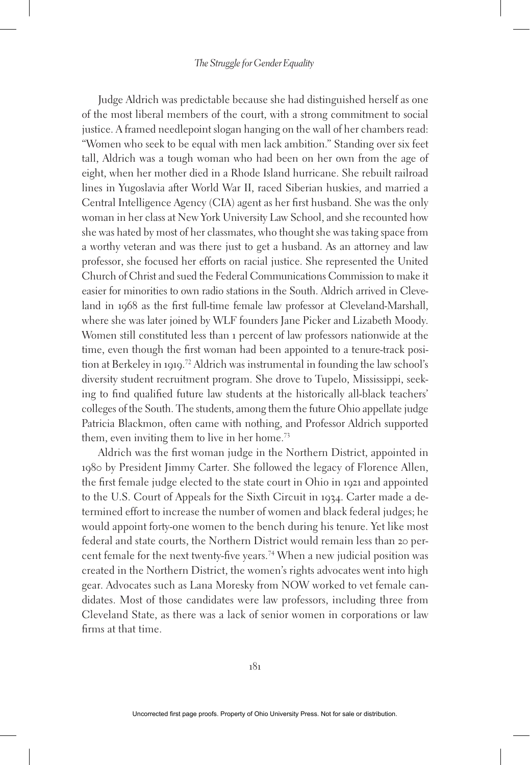Judge Aldrich was predictable because she had distinguished herself as one of the most liberal members of the court, with a strong commitment to social justice. A framed needlepoint slogan hanging on the wall of her chambers read: "Women who seek to be equal with men lack ambition." Standing over six feet tall, Aldrich was a tough woman who had been on her own from the age of eight, when her mother died in a Rhode Island hurricane. She rebuilt railroad lines in Yugoslavia after World War II, raced Siberian huskies, and married a Central Intelligence Agency (CIA) agent as her first husband. She was the only woman in her class at New York University Law School, and she recounted how she was hated by most of her classmates, who thought she was taking space from a worthy veteran and was there just to get a husband. As an attorney and law professor, she focused her efforts on racial justice. She represented the United Church of Christ and sued the Federal Communications Commission to make it easier for minorities to own radio stations in the South. Aldrich arrived in Cleveland in 1968 as the first full-time female law professor at Cleveland-Marshall, where she was later joined by WLF founders Jane Picker and Lizabeth Moody. Women still constituted less than 1 percent of law professors nationwide at the time, even though the first woman had been appointed to a tenure-track position at Berkeley in 1919. 72 Aldrich was instrumental in founding the law school's diversity student recruitment program. She drove to Tupelo, Mississippi, seeking to find qualified future law students at the historically all-black teachers' colleges of the South. The students, among them the future Ohio appellate judge Patricia Blackmon, often came with nothing, and Professor Aldrich supported them, even inviting them to live in her home.<sup>73</sup>

Aldrich was the first woman judge in the Northern District, appointed in 1980 by President Jimmy Carter. She followed the legacy of Florence Allen, the first female judge elected to the state court in Ohio in 1921 and appointed to the U.S. Court of Appeals for the Sixth Circuit in 1934. Carter made a determined effort to increase the number of women and black federal judges; he would appoint forty-one women to the bench during his tenure. Yet like most federal and state courts, the Northern District would remain less than 20 percent female for the next twenty-five years.74 When a new judicial position was created in the Northern District, the women's rights advocates went into high gear. Advocates such as Lana Moresky from NOW worked to vet female candidates. Most of those candidates were law professors, including three from Cleveland State, as there was a lack of senior women in corporations or law firms at that time.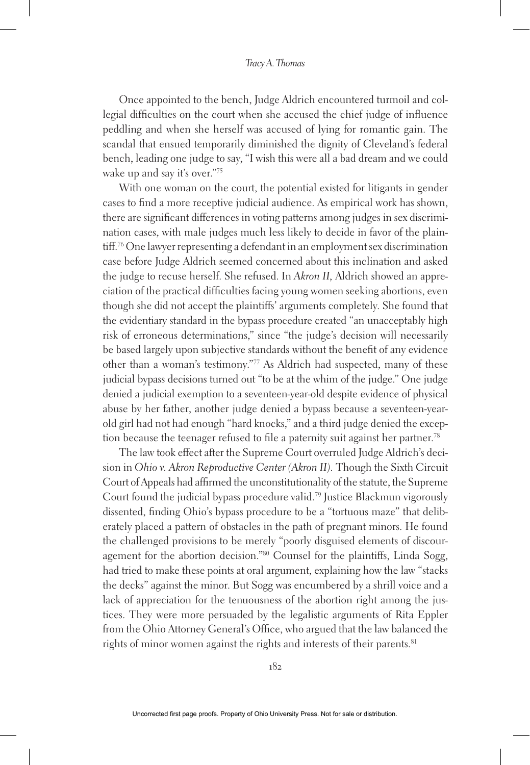Once appointed to the bench, Judge Aldrich encountered turmoil and collegial difficulties on the court when she accused the chief judge of influence peddling and when she herself was accused of lying for romantic gain. The scandal that ensued temporarily diminished the dignity of Cleveland's federal bench, leading one judge to say, "I wish this were all a bad dream and we could wake up and say it's over."75

With one woman on the court, the potential existed for litigants in gender cases to find a more receptive judicial audience. As empirical work has shown, there are significant differences in voting patterns among judges in sex discrimination cases, with male judges much less likely to decide in favor of the plaintiff.76 One lawyer representing a defendant in an employment sex discrimination case before Judge Aldrich seemed concerned about this inclination and asked the judge to recuse herself. She refused. In *Akron II,* Aldrich showed an appreciation of the practical difficulties facing young women seeking abortions, even though she did not accept the plaintiffs' arguments completely. She found that the evidentiary standard in the bypass procedure created "an unacceptably high risk of erroneous determinations," since "the judge's decision will necessarily be based largely upon subjective standards without the benefit of any evidence other than a woman's testimony."77 As Aldrich had suspected, many of these judicial bypass decisions turned out "to be at the whim of the judge." One judge denied a judicial exemption to a seventeen-year-old despite evidence of physical abuse by her father, another judge denied a bypass because a seventeen-yearold girl had not had enough "hard knocks," and a third judge denied the exception because the teenager refused to file a paternity suit against her partner.<sup>78</sup>

The law took effect after the Supreme Court overruled Judge Aldrich's decision in *Ohio v. Akron Reproductive Center (Akron II).* Though the Sixth Circuit Court of Appeals had affirmed the unconstitutionality of the statute, the Supreme Court found the judicial bypass procedure valid.79 Justice Blackmun vigorously dissented, finding Ohio's bypass procedure to be a "tortuous maze" that deliberately placed a pattern of obstacles in the path of pregnant minors. He found the challenged provisions to be merely "poorly disguised elements of discouragement for the abortion decision."80 Counsel for the plaintiffs, Linda Sogg, had tried to make these points at oral argument, explaining how the law "stacks the decks" against the minor. But Sogg was encumbered by a shrill voice and a lack of appreciation for the tenuousness of the abortion right among the justices. They were more persuaded by the legalistic arguments of Rita Eppler from the Ohio Attorney General's Office, who argued that the law balanced the rights of minor women against the rights and interests of their parents.<sup>81</sup>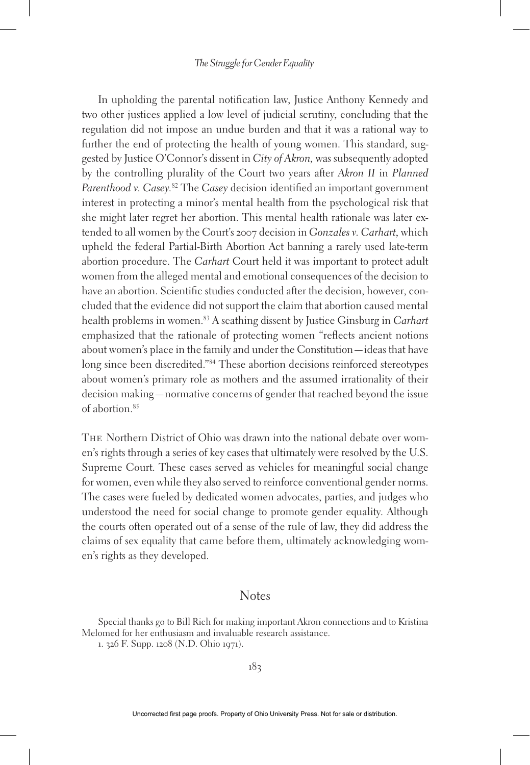In upholding the parental notification law, Justice Anthony Kennedy and two other justices applied a low level of judicial scrutiny, concluding that the regulation did not impose an undue burden and that it was a rational way to further the end of protecting the health of young women. This standard, suggested by Justice O'Connor's dissent in *City of Akron,* was subsequently adopted by the controlling plurality of the Court two years after *Akron II* in *Planned Parenthood v. Casey.*82 The *Casey* decision identified an important government interest in protecting a minor's mental health from the psychological risk that she might later regret her abortion. This mental health rationale was later extended to all women by the Court's 2007 decision in *Gonzales v. Carhart,* which upheld the federal Partial-Birth Abortion Act banning a rarely used late-term abortion procedure. The *Carhart* Court held it was important to protect adult women from the alleged mental and emotional consequences of the decision to have an abortion. Scientific studies conducted after the decision, however, concluded that the evidence did not support the claim that abortion caused mental health problems in women.83 A scathing dissent by Justice Ginsburg in *Carhart*  emphasized that the rationale of protecting women "reflects ancient notions about women's place in the family and under the Constitution—ideas that have long since been discredited."84 These abortion decisions reinforced stereotypes about women's primary role as mothers and the assumed irrationality of their decision making—normative concerns of gender that reached beyond the issue of abortion<sup>85</sup>

The Northern District of Ohio was drawn into the national debate over women's rights through a series of key cases that ultimately were resolved by the U.S. Supreme Court. These cases served as vehicles for meaningful social change for women, even while they also served to reinforce conventional gender norms. The cases were fueled by dedicated women advocates, parties, and judges who understood the need for social change to promote gender equality. Although the courts often operated out of a sense of the rule of law, they did address the claims of sex equality that came before them, ultimately acknowledging women's rights as they developed.

## **Notes**

Special thanks go to Bill Rich for making important Akron connections and to Kristina Melomed for her enthusiasm and invaluable research assistance.

<sup>1</sup>. 326 F. Supp. 1208 (N.D. Ohio 1971).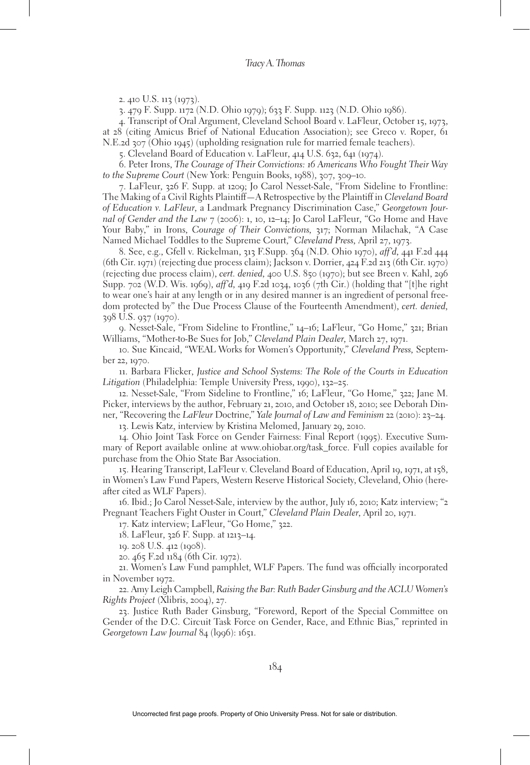2. 410 U.S. 113 (1973).

3. 479 F. Supp. 1172 (N.D. Ohio 1979); 633 F. Supp. 1123 (N.D. Ohio 1986).

4. Transcript of Oral Argument, Cleveland School Board v. LaFleur, October 15, 1973, at 28 (citing Amicus Brief of National Education Association); see Greco v. Roper, 61 N.E.2d 307 (Ohio 1945) (upholding resignation rule for married female teachers).

5. Cleveland Board of Education v. LaFleur, 414 U.S. 632, 641 (1974).

6. Peter Irons, *The Courage of Their Convictions: 16 Americans Who Fought Their Way to the Supreme Court* (New York: Penguin Books, 1988), 307, 309–10.

7. LaFleur, 326 F. Supp. at 1209; Jo Carol Nesset-Sale, "From Sideline to Frontline: The Making of a Civil Rights Plaintiff—A Retrospective by the Plaintiff in *Cleveland Board of Education v. LaFleur,* a Landmark Pregnancy Discrimination Case," *Georgetown Journal of Gender and the Law* 7 (2006): 1, 10, 12–14; Jo Carol LaFleur, "Go Home and Have Your Baby," in Irons, *Courage of Their Convictions,* 317; Norman Milachak, "A Case Named Michael Toddles to the Supreme Court," *Cleveland Press,* April 27, 1973.

8. See, e.g., Gfell v. Rickelman, 313 F.Supp. 364 (N.D. Ohio 1970), *aff'd,* 441 F.2d 444 (6th Cir. 1971) (rejecting due process claim); Jackson v. Dorrier, 424 F.2d 213 (6th Cir. 1970) (rejecting due process claim), *cert. denied,* 400 U.S. 850 (1970); but see Breen v. Kahl, 296 Supp. 702 (W.D. Wis. 1969), *aff'd,* 419 F.2d 1034, 1036 (7th Cir.) (holding that "[t]he right to wear one's hair at any length or in any desired manner is an ingredient of personal freedom protected by" the Due Process Clause of the Fourteenth Amendment), *cert. denied,*  398 U.S. 937 (1970).

9. Nesset-Sale, "From Sideline to Frontline," 14–16; LaFleur, "Go Home," 321; Brian Williams, "Mother-to-Be Sues for Job," *Cleveland Plain Dealer,* March 27, 1971.

10. Sue Kincaid, "WEAL Works for Women's Opportunity," *Cleveland Press,* September 22, 1970.

11. Barbara Flicker, *Justice and School Systems: The Role of the Courts in Education Litigation* (Philadelphia: Temple University Press, 1990), 132–25.

12. Nesset-Sale, "From Sideline to Frontline," 16; LaFleur, "Go Home," 322; Jane M. Picker, interviews by the author, February 21, 2010, and October 18, 2010; see Deborah Dinner, "Recovering the *LaFleur* Doctrine," *Yale Journal of Law and Feminism* 22 (2010): 23–24.

13. Lewis Katz, interview by Kristina Melomed, January 29, 2010.

14. Ohio Joint Task Force on Gender Fairness: Final Report (1995). Executive Summary of Report available online at www.ohiobar.org/task\_force. Full copies available for purchase from the Ohio State Bar Association.

15. Hearing Transcript, LaFleur v. Cleveland Board of Education, April 19, 1971, at 158, in Women's Law Fund Papers, Western Reserve Historical Society, Cleveland, Ohio (hereafter cited as WLF Papers).

16. Ibid.; Jo Carol Nesset-Sale, interview by the author, July 16, 2010; Katz interview; "2 Pregnant Teachers Fight Ouster in Court," *Cleveland Plain Dealer,* April 20, 1971.

17. Katz interview; LaFleur, "Go Home," 322.

18. LaFleur, 326 F. Supp. at 1213–14.

19. 208 U.S. 412 (1908).

20. 465 F.2d 1184 (6th Cir. 1972).

21. Women's Law Fund pamphlet, WLF Papers. The fund was officially incorporated in November 1972.

22. Amy Leigh Campbell, *Raising the Bar: Ruth Bader Ginsburg and the ACLU Women's Rights Project* (Xlibris, 2004), 27.

23. Justice Ruth Bader Ginsburg, "Foreword, Report of the Special Committee on Gender of the D.C. Circuit Task Force on Gender, Race, and Ethnic Bias," reprinted in *Georgetown Law Journal* 84 (l996): 1651.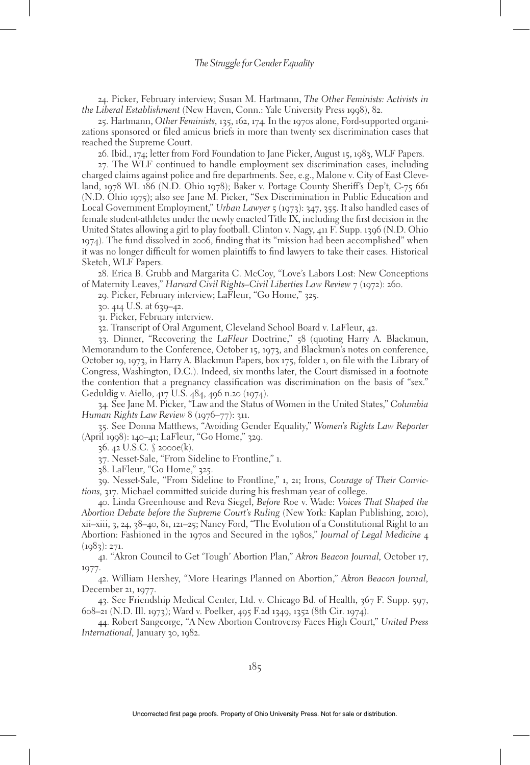24. Picker, February interview; Susan M. Hartmann, *The Other Feminists: Activists in the Liberal Establishment* (New Haven, Conn.: Yale University Press 1998), 82.

25. Hartmann, *Other Feminists,* 135, 162, 174. In the 1970s alone, Ford-supported organizations sponsored or filed amicus briefs in more than twenty sex discrimination cases that reached the Supreme Court.

26. Ibid., 174; letter from Ford Foundation to Jane Picker, August 15, 1983, WLF Papers.

27. The WLF continued to handle employment sex discrimination cases, including charged claims against police and fire departments. See, e.g., Malone v. City of East Cleveland, 1978 WL 186 (N.D. Ohio 1978); Baker v. Portage County Sheriff's Dep't, C-75 661 (N.D. Ohio 1975); also see Jane M. Picker, "Sex Discrimination in Public Education and Local Government Employment," *Urban Lawyer* 5 (1973): 347, 355. It also handled cases of female student-athletes under the newly enacted Title IX, including the first decision in the United States allowing a girl to play football. Clinton v. Nagy, 411 F. Supp. 1396 (N.D. Ohio 1974). The fund dissolved in 2006, finding that its "mission had been accomplished" when it was no longer difficult for women plaintiffs to find lawyers to take their cases. Historical Sketch, WLF Papers.

28. Erica B. Grubb and Margarita C. McCoy, "Love's Labors Lost: New Conceptions of Maternity Leaves," *Harvard Civil Rights–Civil Liberties Law Review* 7 (1972): 260.

29. Picker, February interview; LaFleur, "Go Home," 325.

30. 414 U.S. at 639–42.

31. Picker, February interview.

32. Transcript of Oral Argument, Cleveland School Board v. LaFleur, 42.

33. Dinner, "Recovering the *LaFleur* Doctrine," 58 (quoting Harry A. Blackmun, Memorandum to the Conference, October 15, 1973, and Blackmun's notes on conference, October 19, 1973, in Harry A. Blackmun Papers, box 175, folder 1, on file with the Library of Congress, Washington, D.C.). Indeed, six months later, the Court dismissed in a footnote the contention that a pregnancy classification was discrimination on the basis of "sex." Geduldig v. Aiello, 417 U.S. 484, 496 n.20 (1974).

34. See Jane M. Picker, "Law and the Status of Women in the United States," *Columbia Human Rights Law Review* 8 (1976–77): 311.

35. See Donna Matthews, "Avoiding Gender Equality," *Women's Rights Law Reporter* (April 1998): 140–41; LaFleur, "Go Home," 329.

36. 42 U.S.C. § 2000e(k).

37. Nesset-Sale, "From Sideline to Frontline," 1.

38. LaFleur, "Go Home," 325.

39. Nesset-Sale, "From Sideline to Frontline," 1, 21; Irons, *Courage of Their Convictions,* 317. Michael committed suicide during his freshman year of college.

40. Linda Greenhouse and Reva Siegel, *Before* Roe v. Wade*: Voices That Shaped the Abortion Debate before the Supreme Court's Ruling* (New York: Kaplan Publishing, 2010), xii–xiii, 3, 24, 38–40, 81, 121–25; Nancy Ford, "The Evolution of a Constitutional Right to an Abortion: Fashioned in the 1970s and Secured in the 1980s," *Journal of Legal Medicine* 4  $(1083): 271.$ 

41. "Akron Council to Get 'Tough' Abortion Plan," *Akron Beacon Journal,* October 17, 1977.

42. William Hershey, "More Hearings Planned on Abortion," *Akron Beacon Journal,* December 21, 1977.

43. See Friendship Medical Center, Ltd. v. Chicago Bd. of Health, 367 F. Supp. 597, 608–21 (N.D. Ill. 1973); Ward v. Poelker, 495 F.2d 1349, 1352 (8th Cir. 1974).

44. Robert Sangeorge, "A New Abortion Controversy Faces High Court," *United Press International,* January 30, 1982.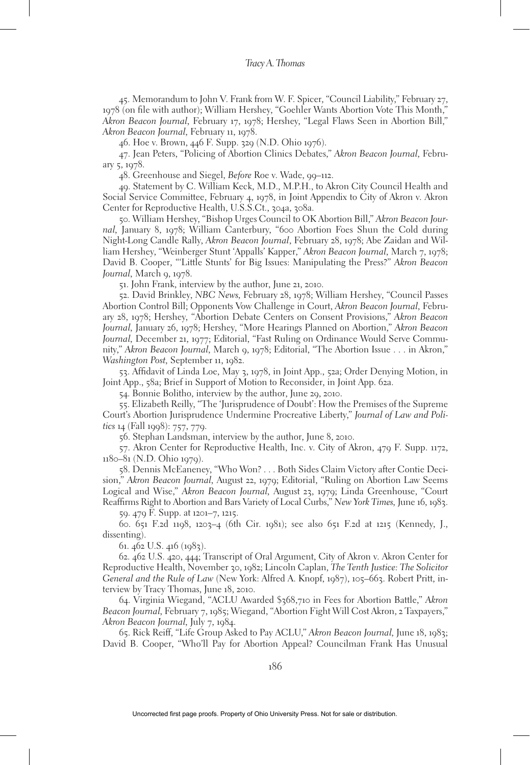45. Memorandum to John V. Frank from W. F. Spicer, "Council Liability," February 27, 1978 (on file with author); William Hershey, "Goehler Wants Abortion Vote This Month," *Akron Beacon Journal,* February 17, 1978; Hershey, "Legal Flaws Seen in Abortion Bill," *Akron Beacon Journal,* February 11, 1978.

46. Hoe v. Brown, 446 F. Supp. 329 (N.D. Ohio 1976).

47. Jean Peters, "Policing of Abortion Clinics Debates," *Akron Beacon Journal,* February 5, 1978.

48. Greenhouse and Siegel, *Before* Roe v. Wade, 99–112.

49. Statement by C. William Keck, M.D., M.P.H., to Akron City Council Health and Social Service Committee, February 4, 1978, in Joint Appendix to City of Akron v. Akron Center for Reproductive Health, U.S.S.Ct., 304a, 308a.

50. William Hershey, "Bishop Urges Council to OK Abortion Bill," *Akron Beacon Journal,* January 8, 1978; William Canterbury, "600 Abortion Foes Shun the Cold during Night-Long Candle Rally, *Akron Beacon Journal*, February 28, 1978; Abe Zaidan and William Hershey, "Weinberger Stunt 'Appalls' Kapper," *Akron Beacon Journal,* March 7, 1978; David B. Cooper, "'Little Stunts' for Big Issues: Manipulating the Press?" *Akron Beacon Journal*, March 9, 1978.

51. John Frank, interview by the author, June 21, 2010.

52. David Brinkley, *NBC News,* February 28, 1978; William Hershey, "Council Passes Abortion Control Bill; Opponents Vow Challenge in Court, *Akron Beacon Journal,* February 28, 1978; Hershey, "Abortion Debate Centers on Consent Provisions," *Akron Beacon Journal,* January 26, 1978; Hershey, "More Hearings Planned on Abortion," *Akron Beacon Journal,* December 21, 1977; Editorial, "Fast Ruling on Ordinance Would Serve Community," *Akron Beacon Journal,* March 9, 1978; Editorial, "The Abortion Issue . . . in Akron," *Washington Post,* September 11, 1982.

53. Affidavit of Linda Loe, May 3, 1978, in Joint App., 52a; Order Denying Motion, in Joint App., 58a; Brief in Support of Motion to Reconsider, in Joint App. 62a.

54. Bonnie Bolitho, interview by the author, June 29, 2010.

55. Elizabeth Reilly, "The 'Jurisprudence of Doubt': How the Premises of the Supreme Court's Abortion Jurisprudence Undermine Procreative Liberty," *Journal of Law and Politics* 14 (Fall 1998): 757, 779.

56. Stephan Landsman, interview by the author, June 8, 2010.

57. Akron Center for Reproductive Health, Inc. v. City of Akron, 479 F. Supp. 1172, 1180–81 (N.D. Ohio 1979).

58. Dennis McEaneney, "Who Won? . . . Both Sides Claim Victory after Contie Decision," *Akron Beacon Journal,* August 22, 1979; Editorial, "Ruling on Abortion Law Seems Logical and Wise," *Akron Beacon Journal,* August 23, 1979; Linda Greenhouse, "Court Reaffirms Right to Abortion and Bars Variety of Local Curbs," *New York Times,* June 16, 1983.

59. 479 F. Supp. at 1201–7, 1215.

60. 651 F.2d 1198, 1203–4 (6th Cir. 1981); see also 651 F.2d at 1215 (Kennedy, J., dissenting).

61. 462 U.S. 416 (1983).

62. 462 U.S. 420, 444; Transcript of Oral Argument, City of Akron v. Akron Center for Reproductive Health, November 30, 1982; Lincoln Caplan, *The Tenth Justice: The Solicitor General and the Rule of Law* (New York: Alfred A. Knopf, 1987), 105–663. Robert Pritt, interview by Tracy Thomas, June 18, 2010.

64. Virginia Wiegand, "ACLU Awarded \$368,710 in Fees for Abortion Battle," *Akron Beacon Journal,* February 7, 1985; Wiegand, "Abortion Fight Will Cost Akron, 2 Taxpayers," *Akron Beacon Journal,* July 7, 1984.

65. Rick Reiff, "Life Group Asked to Pay ACLU," *Akron Beacon Journal,* June 18, 1983; David B. Cooper, "Who'll Pay for Abortion Appeal? Councilman Frank Has Unusual